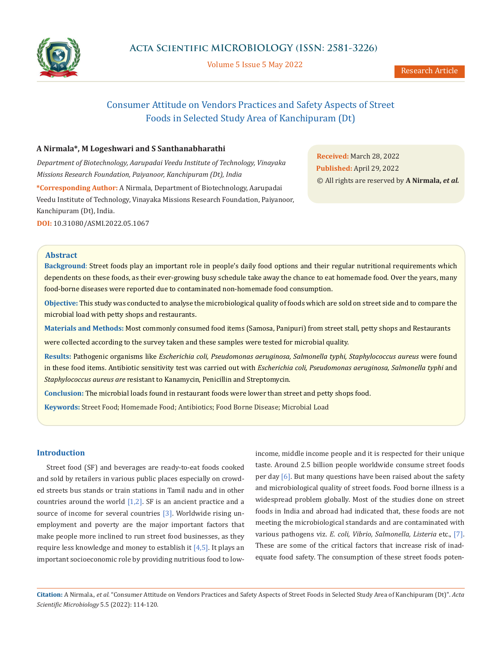

Volume 5 Issue 5 May 2022

# Consumer Attitude on Vendors Practices and Safety Aspects of Street Foods in Selected Study Area of Kanchipuram (Dt)

# **A Nirmala\*, M Logeshwari and S Santhanabharathi**

*Department of Biotechnology, Aarupadai Veedu Institute of Technology, Vinayaka Missions Research Foundation, Paiyanoor, Kanchipuram (Dt), India*

**\*Corresponding Author:** A Nirmala, Department of Biotechnology, Aarupadai Veedu Institute of Technology, Vinayaka Missions Research Foundation, Paiyanoor, Kanchipuram (Dt), India.

**DOI:** [10.31080/ASMI.2022.05.1067](https://actascientific.com/ASMI/pdf/ASMI-05-1067.pdf)

**Received:** March 28, 2022 **Published:** April 29, 2022 © All rights are reserved by **A Nirmala,** *et al.*

### **Abstract**

**Background**: Street foods play an important role in people's daily food options and their regular nutritional requirements which dependents on these foods, as their ever-growing busy schedule take away the chance to eat homemade food. Over the years, many food-borne diseases were reported due to contaminated non-homemade food consumption.

**Objective:** This study was conducted to analyse the microbiological quality of foods which are sold on street side and to compare the microbial load with petty shops and restaurants.

**Materials and Methods:** Most commonly consumed food items (Samosa, Panipuri) from street stall, petty shops and Restaurants were collected according to the survey taken and these samples were tested for microbial quality.

**Results:** Pathogenic organisms like *Escherichia coli, Pseudomonas aeruginosa, Salmonella typhi, Staphylococcus aureus* were found in these food items. Antibiotic sensitivity test was carried out with *Escherichia coli, Pseudomonas aeruginosa, Salmonella typhi* and *Staphylococcus aureus are* resistant to Kanamycin, Penicillin and Streptomycin.

**Conclusion:** The microbial loads found in restaurant foods were lower than street and petty shops food.

**Keywords:** Street Food; Homemade Food; Antibiotics; Food Borne Disease; Microbial Load

# **Introduction**

Street food (SF) and beverages are ready-to-eat foods cooked and sold by retailers in various public places especially on crowded streets bus stands or train stations in Tamil nadu and in other countries around the world [1,2]. SF is an ancient practice and a source of income for several countries [3]. Worldwide rising unemployment and poverty are the major important factors that make people more inclined to run street food businesses, as they require less knowledge and money to establish it  $[4,5]$ . It plays an important socioeconomic role by providing nutritious food to lowincome, middle income people and it is respected for their unique taste. Around 2.5 billion people worldwide consume street foods per day [6]. But many questions have been raised about the safety and microbiological quality of street foods. Food borne illness is a widespread problem globally. Most of the studies done on street foods in India and abroad had indicated that, these foods are not meeting the microbiological standards and are contaminated with various pathogens viz. *E. coli, Vibrio, Salmonella, Listeria* etc., [7]. These are some of the critical factors that increase risk of inadequate food safety. The consumption of these street foods poten-

**Citation:** A Nirmala*., et al.* "Consumer Attitude on Vendors Practices and Safety Aspects of Street Foods in Selected Study Area of Kanchipuram (Dt)". *Acta Scientific Microbiology* 5.5 (2022): 114-120.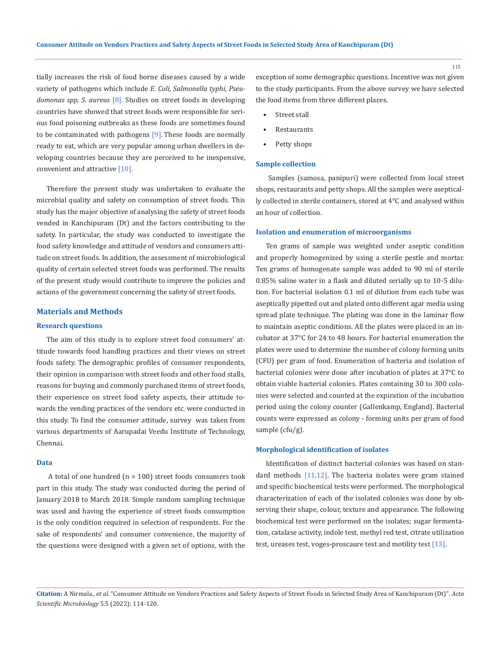tially increases the risk of food borne diseases caused by a wide variety of pathogens which include *E. Coli, Salmonella typhi, Pseudomonas spp, S. aureus* [8]. Studies on street foods in developing countries have showed that street foods were responsible for serious food poisoning outbreaks as these foods are sometimes found to be contaminated with pathogens [9]. These foods are normally ready to eat, which are very popular among urban dwellers in developing countries because they are perceived to be inexpensive, convenient and attractive [10].

Therefore the present study was undertaken to evaluate the microbial quality and safety on consumption of street foods. This study has the major objective of analysing the safety of street foods vended in Kanchipuram (Dt) and the factors contributing to the safety. In particular, the study was conducted to investigate the food safety knowledge and attitude of vendors and consumers attitude on street foods. In addition, the assessment of microbiological quality of certain selected street foods was performed. The results of the present study would contribute to improve the policies and actions of the government concerning the safety of street foods.

#### **Materials and Methods**

# **Research questions**

The aim of this study is to explore street food consumers' attitude towards food handling practices and their views on street foods safety. The demographic profiles of consumer respondents, their opinion in comparison with street foods and other food stalls, reasons for buying and commonly purchased items of street foods, their experience on street food safety aspects, their attitude towards the vending practices of the vendors etc. were conducted in this study. To find the consumer attitude, survey was taken from various departments of Aarupadai Veedu Institute of Technology, Chennai.

#### **Data**

A total of one hundred  $(n = 100)$  street foods consumers took part in this study. The study was conducted during the period of January 2018 to March 2018. Simple random sampling technique was used and having the experience of street foods consumption is the only condition required in selection of respondents. For the sake of respondents' and consumer convenience, the majority of the questions were designed with a given set of options, with the exception of some demographic questions. Incentive was not given to the study participants. From the above survey we have selected the food items from three different places.

- Street stall
- **Restaurants**
- Petty shops

#### **Sample collection**

 Samples (samosa, panipuri) were collected from local street shops, restaurants and petty shops. All the samples were aseptically collected in sterile containers, stored at 4°C and analysed within an hour of collection.

#### **Isolation and enumeration of microorganisms**

Ten grams of sample was weighted under aseptic condition and properly homogenized by using a sterile pestle and mortar. Ten grams of homogenate sample was added to 90 ml of sterile 0.85% saline water in a flask and diluted serially up to 10-5 dilution. For bacterial isolation 0.1 ml of dilution from each tube was aseptically pipetted out and plated onto different agar media using spread plate technique. The plating was done in the laminar flow to maintain aseptic conditions. All the plates were placed in an incubator at 37°C for 24 to 48 hours. For bacterial enumeration the plates were used to determine the number of colony forming units (CFU) per gram of food. Enumeration of bacteria and isolation of bacterial colonies were done after incubation of plates at 37°C to obtain viable bacterial colonies. Plates containing 30 to 300 colonies were selected and counted at the expiration of the incubation period using the colony counter (GaIlenkamp, England). Bacterial counts were expressed as colony - forming units per gram of food sample (cfu/g).

#### **Morphological identification of isolates**

Identification of distinct bacterial colonies was based on standard methods [11,12]. The bacteria isolates were gram stained and specific biochemical tests were performed. The morphological characterization of each of the isolated colonies was done by observing their shape, colour, texture and appearance. The following biochemical test were performed on the isolates; sugar fermentation, catalase activity, indole test, methyl red test, citrate utilization test, ureases test, voges-proscaure test and motility test [13].

**Citation:** A Nirmala*., et al.* "Consumer Attitude on Vendors Practices and Safety Aspects of Street Foods in Selected Study Area of Kanchipuram (Dt)". *Acta Scientific Microbiology* 5.5 (2022): 114-120.

115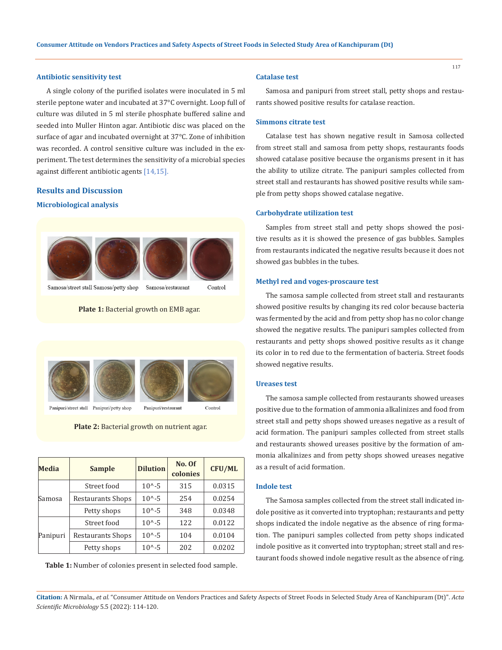## **Antibiotic sensitivity test**

A single colony of the purified isolates were inoculated in 5 ml sterile peptone water and incubated at 37°C overnight. Loop full of culture was diluted in 5 ml sterile phosphate buffered saline and seeded into Muller Hinton agar. Antibiotic disc was placed on the surface of agar and incubated overnight at 37°C. Zone of inhibition was recorded. A control sensitive culture was included in the experiment. The test determines the sensitivity of a microbial species against different antibiotic agents [14,15].

# **Results and Discussion**

#### **Microbiological analysis**



Samosa/street stall Samosa/petty shop

**Plate 1:** Bacterial growth on EMB agar.



Panipuri/street stall Panipuri/petty shop

**Plate 2:** Bacterial growth on nutrient agar.

| Media    | <b>Sample</b>     | <b>Dilution</b>  | No. Of<br>colonies | <b>CFU/ML</b> |  |
|----------|-------------------|------------------|--------------------|---------------|--|
|          | Street food       | $10^{\circ} - 5$ | 315                | 0.0315        |  |
| Samosa   | Restaurants Shops | $10^{\circ} - 5$ | 254                | 0.0254        |  |
|          | Petty shops       | $10^{\circ} - 5$ | 348                | 0.0348        |  |
| Panipuri | Street food       | $10^{\circ} - 5$ | 122                | 0.0122        |  |
|          | Restaurants Shops | $10^{\circ} - 5$ | 104                | 0.0104        |  |
|          | Petty shops       | $10^{\circ} - 5$ | 202                | 0.0202        |  |

**Table 1:** Number of colonies present in selected food sample.

#### **Catalase test**

Samosa and panipuri from street stall, petty shops and restaurants showed positive results for catalase reaction.

#### **Simmons citrate test**

Catalase test has shown negative result in Samosa collected from street stall and samosa from petty shops, restaurants foods showed catalase positive because the organisms present in it has the ability to utilize citrate. The panipuri samples collected from street stall and restaurants has showed positive results while sample from petty shops showed catalase negative.

#### **Carbohydrate utilization test**

Samples from street stall and petty shops showed the positive results as it is showed the presence of gas bubbles. Samples from restaurants indicated the negative results because it does not showed gas bubbles in the tubes.

#### **Methyl red and voges-proscaure test**

The samosa sample collected from street stall and restaurants showed positive results by changing its red color because bacteria was fermented by the acid and from petty shop has no color change showed the negative results. The panipuri samples collected from restaurants and petty shops showed positive results as it change its color in to red due to the fermentation of bacteria. Street foods showed negative results.

#### **Ureases test**

The samosa sample collected from restaurants showed ureases positive due to the formation of ammonia alkalinizes and food from street stall and petty shops showed ureases negative as a result of acid formation. The panipuri samples collected from street stalls and restaurants showed ureases positive by the formation of ammonia alkalinizes and from petty shops showed ureases negative as a result of acid formation.

# **Indole test**

The Samosa samples collected from the street stall indicated indole positive as it converted into tryptophan; restaurants and petty shops indicated the indole negative as the absence of ring formation. The panipuri samples collected from petty shops indicated indole positive as it converted into tryptophan; street stall and restaurant foods showed indole negative result as the absence of ring.

**Citation:** A Nirmala*., et al.* "Consumer Attitude on Vendors Practices and Safety Aspects of Street Foods in Selected Study Area of Kanchipuram (Dt)". *Acta Scientific Microbiology* 5.5 (2022): 114-120.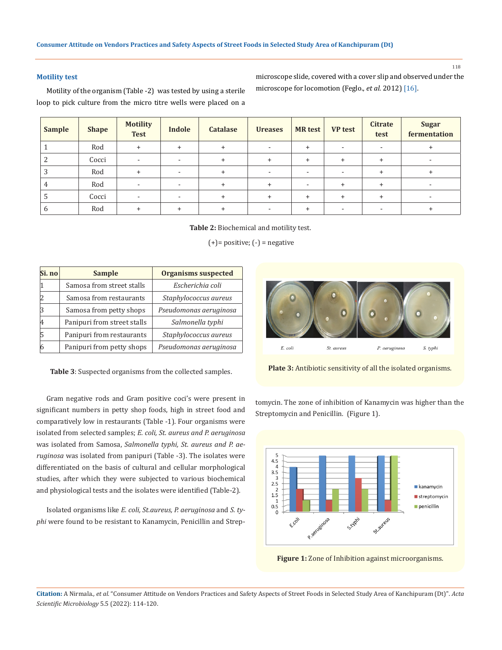# **Motility test**

Motility of the organism (Table -2) was tested by using a sterile loop to pick culture from the micro titre wells were placed on a

microscope slide, covered with a cover slip and observed under the microscope for locomotion (Feglo., *et al.* 2012) [16].

118

| <b>Sample</b> | <b>Shape</b> | <b>Motility</b><br><b>Test</b> | <b>Indole</b>            | <b>Catalase</b> | <b>Ureases</b>           | <b>MR</b> test | <b>VP</b> test | Citrate<br>test | <b>Sugar</b><br>fermentation |
|---------------|--------------|--------------------------------|--------------------------|-----------------|--------------------------|----------------|----------------|-----------------|------------------------------|
|               | Rod          | $\ddot{}$                      | $+$                      | $+$             | $\overline{\phantom{0}}$ | $\ddot{}$      | ۰              | ۰               | +                            |
|               | Cocci        | <b>.</b>                       | $\overline{\phantom{a}}$ | $^{+}$          | $\ddot{}$                | $\ddot{}$      | $\ddot{}$      | $+$             | $\overline{\phantom{0}}$     |
|               | Rod          | $\ddot{}$                      | -                        | $\ddot{}$       | -                        |                | ۰              | $\ddot{}$       | $\ddot{}$                    |
|               | Rod          | $\overline{a}$                 | $\sim$                   | $\ddot{}$       | $\ddot{}$                |                | $\pm$          | $+$             | $\overline{\phantom{a}}$     |
|               | Cocci        | $\overline{a}$                 | ۰                        | $\ddot{}$       | $+$                      | $\ddot{}$      | $\ddot{}$      | $\ddot{}$       | $\overline{\phantom{a}}$     |
|               | Rod          | $\div$                         | $\pm$                    | $\ddot{}$       |                          | $\pm$          |                |                 |                              |

**Table 2:** Biochemical and motility test.

 $(+)=$  positive;  $(-)$  = negative

| Si. no | <b>Sample</b>               | <b>Organisms suspected</b> |  |  |
|--------|-----------------------------|----------------------------|--|--|
| 11     | Samosa from street stalls   | Escherichia coli           |  |  |
| 2      | Samosa from restaurants     | Staphylococcus aureus      |  |  |
| 3      | Samosa from petty shops     | Pseudomonas aeruginosa     |  |  |
| 4      | Panipuri from street stalls | Salmonella typhi           |  |  |
| 5      | Panipuri from restaurants   | Staphylococcus aureus      |  |  |
| 6      | Panipuri from petty shops   | Pseudomonas aeruginosa     |  |  |

**Table 3**: Suspected organisms from the collected samples.

Gram negative rods and Gram positive coci's were present in significant numbers in petty shop foods, high in street food and comparatively low in restaurants (Table -1). Four organisms were isolated from selected samples; *E. coli, St. aureus and P. aeruginosa*  was isolated from Samosa, *Salmonella typhi, St. aureus and P. aeruginosa* was isolated from panipuri (Table -3). The isolates were differentiated on the basis of cultural and cellular morphological studies, after which they were subjected to various biochemical and physiological tests and the isolates were identified (Table-2).

Isolated organisms like *E. coli, St.aureus, P. aeruginosa* and *S. typhi* were found to be resistant to Kanamycin, Penicillin and Strep-



**Plate 3:** Antibiotic sensitivity of all the isolated organisms.

tomycin. The zone of inhibition of Kanamycin was higher than the Streptomycin and Penicillin*.* (Figure 1).



**Figure 1:** Zone of Inhibition against microorganisms.

**Citation:** A Nirmala*., et al.* "Consumer Attitude on Vendors Practices and Safety Aspects of Street Foods in Selected Study Area of Kanchipuram (Dt)". *Acta Scientific Microbiology* 5.5 (2022): 114-120.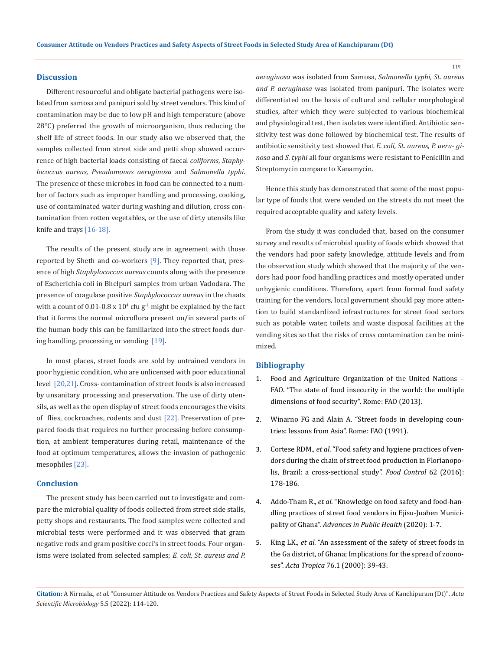## **Discussion**

Different resourceful and obligate bacterial pathogens were isolated from samosa and panipuri sold by street vendors. This kind of contamination may be due to low pH and [high temperature](http://www.scialert.net/asci/result.php?searchin=Keywords&cat=&ascicat=ALL&Submit=Search&keyword=high+temperature) (above 28°C) preferred the growth of microorganism, thus reducing the shelf life of street foods. In our study also we observed that, the samples collected from street side and petti shop showed occurrence of high bacterial loads consisting of faecal *coliforms*, *Staphylococcus aureus, Pseudomonas aeruginosa* and *Salmonella typhi*. The presence of these microbes in food can be connected to a number of factors such as improper handling and processing, cooking, use of contaminated water during washing and dilution, cross contamination from rotten vegetables, or the use of dirty utensils like knife and trays [16-18].

The results of the present study are in agreement with those reported by Sheth and co-workers  $[9]$ . They reported that, presence of high *Staphylococcus aureus* counts along with the presence of Escherichia coli in Bhelpuri samples from urban Vadodara. The presence of coagulase positive *Staphylococcus aureus* in the chaats with a count of  $0.01$ - $0.8 \times 10^4$  cfu g<sup>-1</sup> might be explained by the fact that it forms the normal microflora present on/in several parts of the human body this can be familiarized into the street foods during handling, processing or vending [19].

In most places, street foods are sold by untrained vendors in poor hygienic condition, who are unlicensed with poor educational level [20,21]. Cross- contamination of street foods is also increased by unsanitary processing and preservation. The use of dirty utensils, as well as the open display of street foods encourages the visits of flies, cockroaches, rodents and dust [22]. Preservation of prepared foods that requires no further processing before consumption, at ambient temperatures during retail, maintenance of the food at optimum temperatures, allows the invasion of pathogenic mesophiles [23].

# **Conclusion**

The present study has been carried out to investigate and compare the microbial quality of foods collected from street side stalls, petty shops and restaurants. The food samples were collected and microbial tests were performed and it was observed that gram negative rods and gram positive cocci's in street foods. Four organisms were isolated from selected samples; *E. coli, St. aureus and P.*  *aeruginosa* was isolated from Samosa, *Salmonella typhi, St. aureus and P. aeruginosa* was isolated from panipuri. The isolates were differentiated on the basis of cultural and cellular morphological studies, after which they were subjected to various biochemical and physiological test, then isolates were identified. Antibiotic sensitivity test was done followed by biochemical test. The results of antibiotic sensitivity test showed that *E. coli, St. aureus, P. aeru- ginosa* and *S. typhi* all four organisms were resistant to Penicillin and Streptomycin compare to Kanamycin.

Hence this study has demonstrated that some of the most popular type of foods that were vended on the streets do not meet the required acceptable quality and safety levels.

From the study it was concluded that, based on the consumer survey and results of microbial quality of foods which showed that the vendors had poor safety knowledge, attitude levels and from the observation study which showed that the majority of the vendors had poor food handling practices and mostly operated under unhygienic conditions. Therefore, apart from formal food safety training for the vendors, local government should pay more attention to build standardized infrastructures for street food sectors such as potable water, toilets and waste disposal facilities at the vending sites so that the risks of cross contamination can be minimized.

# **Bibliography**

- 1. Food and Agriculture Organization of the United Nations FAO. "The state of food insecurity in the world: the multiple dimensions of food security". Rome: FAO (2013).
- 2. Winarno FG and Alain A. "Street foods in developing countries: lessons from Asia". Rome: FAO (1991).
- 3. Cortese RDM., *et al*[. "Food safety and hygiene practices of ven](https://www.sciencedirect.com/science/article/pii/S0956713515302498)[dors during the chain of street food production in Florianopo](https://www.sciencedirect.com/science/article/pii/S0956713515302498)[lis, Brazil: a cross-sectional study".](https://www.sciencedirect.com/science/article/pii/S0956713515302498) *Food Control* 62 (2016): [178-186.](https://www.sciencedirect.com/science/article/pii/S0956713515302498)
- 4. Addo-Tham R., *et al*[. "Knowledge on food safety and food-han](https://www.hindawi.com/journals/aph/2020/4579573/)[dling practices of street food vendors in Ejisu-Juaben Munici](https://www.hindawi.com/journals/aph/2020/4579573/)pality of Ghana". *[Advances in Public Health](https://www.hindawi.com/journals/aph/2020/4579573/)* (2020): 1-7.
- 5. King LK., *et al*[. "An assessment of the safety of street foods in](https://pubmed.ncbi.nlm.nih.gov/10913764/) [the Ga district, of Ghana; Implications for the spread of zoono](https://pubmed.ncbi.nlm.nih.gov/10913764/)ses". *Acta Tropica* [76.1 \(2000\): 39-43.](https://pubmed.ncbi.nlm.nih.gov/10913764/)

119

**Citation:** A Nirmala*., et al.* "Consumer Attitude on Vendors Practices and Safety Aspects of Street Foods in Selected Study Area of Kanchipuram (Dt)". *Acta Scientific Microbiology* 5.5 (2022): 114-120.